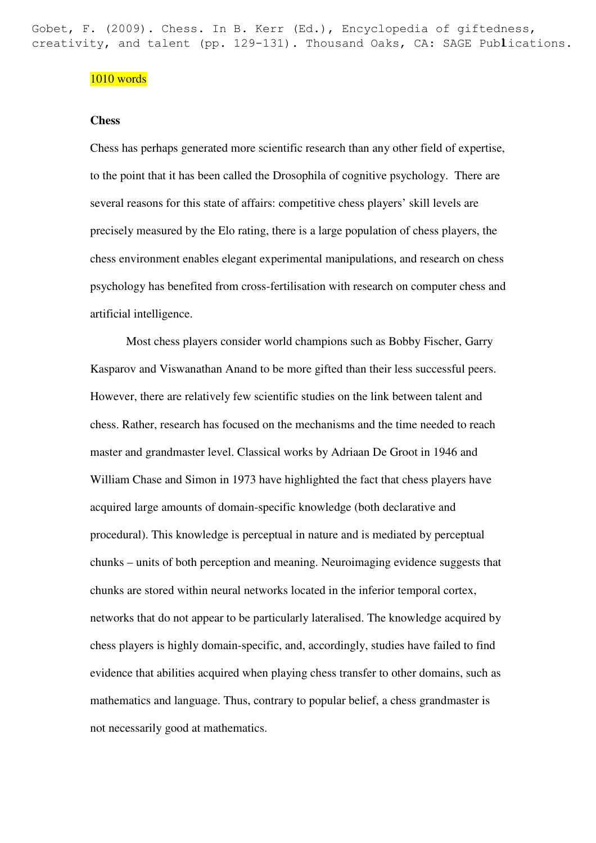creativity, and talent (pp. 129-131). Thousand Oaks, CA: SAGE Publications. Gobet, F. (2009). Chess. In B. Kerr (Ed.), Encyclopedia of giftedness,

## 1010 words

## **Chess**

Chess has perhaps generated more scientific research than any other field of expertise, to the point that it has been called the Drosophila of cognitive psychology. There are several reasons for this state of affairs: competitive chess players' skill levels are precisely measured by the Elo rating, there is a large population of chess players, the chess environment enables elegant experimental manipulations, and research on chess psychology has benefited from cross-fertilisation with research on computer chess and artificial intelligence.

Most chess players consider world champions such as Bobby Fischer, Garry Kasparov and Viswanathan Anand to be more gifted than their less successful peers. However, there are relatively few scientific studies on the link between talent and chess. Rather, research has focused on the mechanisms and the time needed to reach master and grandmaster level. Classical works by Adriaan De Groot in 1946 and William Chase and Simon in 1973 have highlighted the fact that chess players have acquired large amounts of domain-specific knowledge (both declarative and procedural). This knowledge is perceptual in nature and is mediated by perceptual chunks – units of both perception and meaning. Neuroimaging evidence suggests that chunks are stored within neural networks located in the inferior temporal cortex, networks that do not appear to be particularly lateralised. The knowledge acquired by chess players is highly domain-specific, and, accordingly, studies have failed to find evidence that abilities acquired when playing chess transfer to other domains, such as mathematics and language. Thus, contrary to popular belief, a chess grandmaster is not necessarily good at mathematics.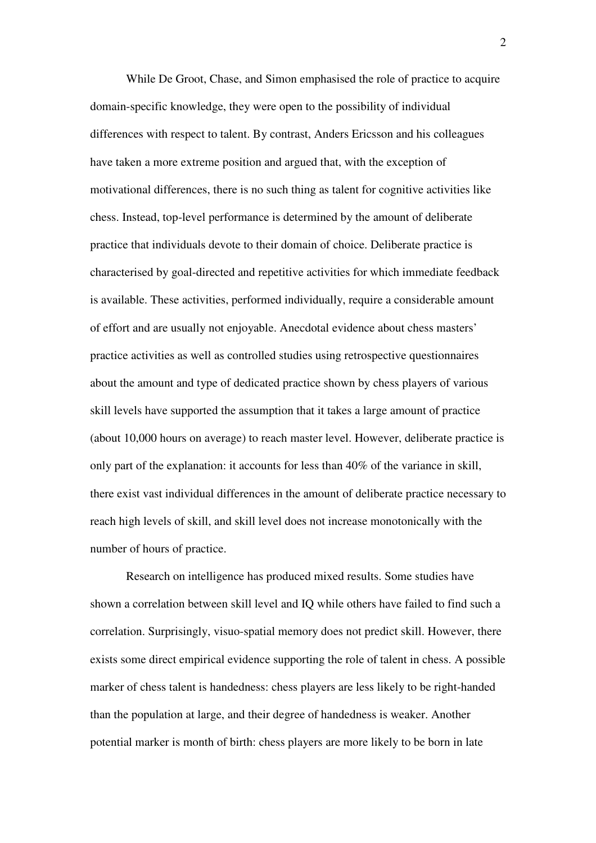While De Groot, Chase, and Simon emphasised the role of practice to acquire domain-specific knowledge, they were open to the possibility of individual differences with respect to talent. By contrast, Anders Ericsson and his colleagues have taken a more extreme position and argued that, with the exception of motivational differences, there is no such thing as talent for cognitive activities like chess. Instead, top-level performance is determined by the amount of deliberate practice that individuals devote to their domain of choice. Deliberate practice is characterised by goal-directed and repetitive activities for which immediate feedback is available. These activities, performed individually, require a considerable amount of effort and are usually not enjoyable. Anecdotal evidence about chess masters' practice activities as well as controlled studies using retrospective questionnaires about the amount and type of dedicated practice shown by chess players of various skill levels have supported the assumption that it takes a large amount of practice (about 10,000 hours on average) to reach master level. However, deliberate practice is only part of the explanation: it accounts for less than 40% of the variance in skill, there exist vast individual differences in the amount of deliberate practice necessary to reach high levels of skill, and skill level does not increase monotonically with the number of hours of practice.

Research on intelligence has produced mixed results. Some studies have shown a correlation between skill level and IQ while others have failed to find such a correlation. Surprisingly, visuo-spatial memory does not predict skill. However, there exists some direct empirical evidence supporting the role of talent in chess. A possible marker of chess talent is handedness: chess players are less likely to be right-handed than the population at large, and their degree of handedness is weaker. Another potential marker is month of birth: chess players are more likely to be born in late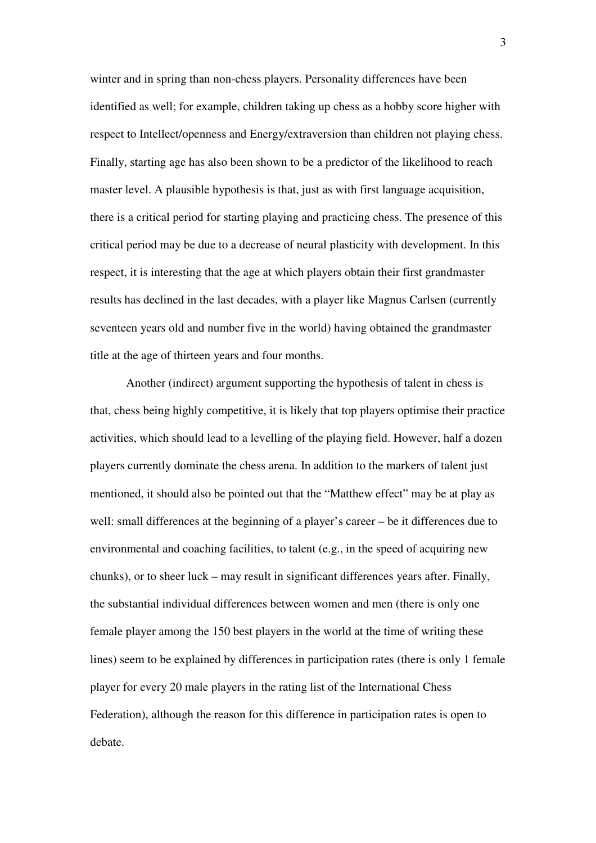winter and in spring than non-chess players. Personality differences have been identified as well; for example, children taking up chess as a hobby score higher with respect to Intellect/openness and Energy/extraversion than children not playing chess. Finally, starting age has also been shown to be a predictor of the likelihood to reach master level. A plausible hypothesis is that, just as with first language acquisition, there is a critical period for starting playing and practicing chess. The presence of this critical period may be due to a decrease of neural plasticity with development. In this respect, it is interesting that the age at which players obtain their first grandmaster results has declined in the last decades, with a player like Magnus Carlsen (currently seventeen years old and number five in the world) having obtained the grandmaster title at the age of thirteen years and four months.

Another (indirect) argument supporting the hypothesis of talent in chess is that, chess being highly competitive, it is likely that top players optimise their practice activities, which should lead to a levelling of the playing field. However, half a dozen players currently dominate the chess arena. In addition to the markers of talent just mentioned, it should also be pointed out that the "Matthew effect" may be at play as well: small differences at the beginning of a player's career – be it differences due to environmental and coaching facilities, to talent (e.g., in the speed of acquiring new chunks), or to sheer luck – may result in significant differences years after. Finally, the substantial individual differences between women and men (there is only one female player among the 150 best players in the world at the time of writing these lines) seem to be explained by differences in participation rates (there is only 1 female player for every 20 male players in the rating list of the International Chess Federation), although the reason for this difference in participation rates is open to debate.